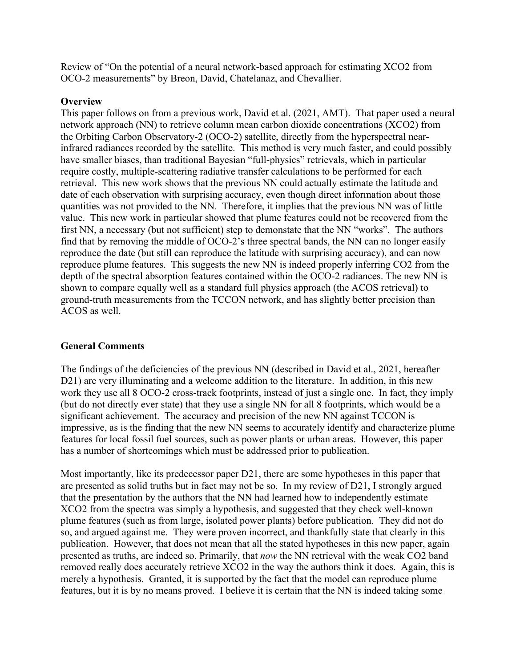Review of "On the potential of a neural network-based approach for estimating XCO2 from OCO-2 measurements" by Breon, David, Chatelanaz, and Chevallier.

#### **Overview**

This paper follows on from a previous work, David et al. (2021, AMT). That paper used a neural network approach (NN) to retrieve column mean carbon dioxide concentrations (XCO2) from the Orbiting Carbon Observatory-2 (OCO-2) satellite, directly from the hyperspectral nearinfrared radiances recorded by the satellite. This method is very much faster, and could possibly have smaller biases, than traditional Bayesian "full-physics" retrievals, which in particular require costly, multiple-scattering radiative transfer calculations to be performed for each retrieval. This new work shows that the previous NN could actually estimate the latitude and date of each observation with surprising accuracy, even though direct information about those quantities was not provided to the NN. Therefore, it implies that the previous NN was of little value. This new work in particular showed that plume features could not be recovered from the first NN, a necessary (but not sufficient) step to demonstate that the NN "works". The authors find that by removing the middle of OCO-2's three spectral bands, the NN can no longer easily reproduce the date (but still can reproduce the latitude with surprising accuracy), and can now reproduce plume features. This suggests the new NN is indeed properly inferring CO2 from the depth of the spectral absorption features contained within the OCO-2 radiances. The new NN is shown to compare equally well as a standard full physics approach (the ACOS retrieval) to ground-truth measurements from the TCCON network, and has slightly better precision than ACOS as well.

## **General Comments**

The findings of the deficiencies of the previous NN (described in David et al., 2021, hereafter D21) are very illuminating and a welcome addition to the literature. In addition, in this new work they use all 8 OCO-2 cross-track footprints, instead of just a single one. In fact, they imply (but do not directly ever state) that they use a single NN for all 8 footprints, which would be a significant achievement. The accuracy and precision of the new NN against TCCON is impressive, as is the finding that the new NN seems to accurately identify and characterize plume features for local fossil fuel sources, such as power plants or urban areas. However, this paper has a number of shortcomings which must be addressed prior to publication.

Most importantly, like its predecessor paper D21, there are some hypotheses in this paper that are presented as solid truths but in fact may not be so. In my review of D21, I strongly argued that the presentation by the authors that the NN had learned how to independently estimate XCO2 from the spectra was simply a hypothesis, and suggested that they check well-known plume features (such as from large, isolated power plants) before publication. They did not do so, and argued against me. They were proven incorrect, and thankfully state that clearly in this publication. However, that does not mean that all the stated hypotheses in this new paper, again presented as truths, are indeed so. Primarily, that *now* the NN retrieval with the weak CO2 band removed really does accurately retrieve XCO2 in the way the authors think it does. Again, this is merely a hypothesis. Granted, it is supported by the fact that the model can reproduce plume features, but it is by no means proved. I believe it is certain that the NN is indeed taking some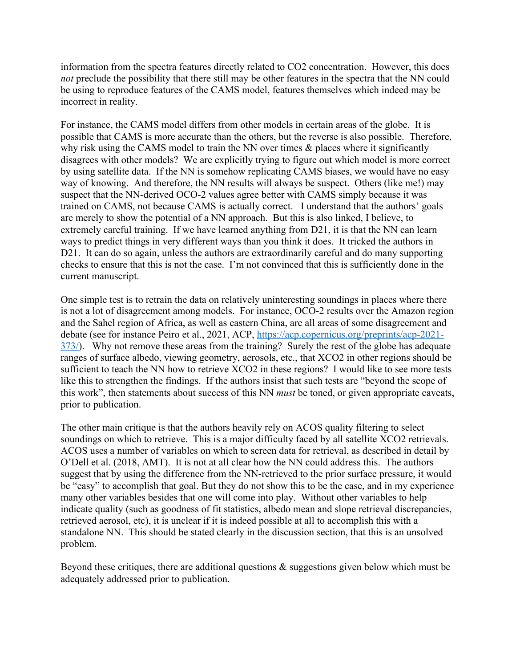information from the spectra features directly related to CO2 concentration. However, this does *not* preclude the possibility that there still may be other features in the spectra that the NN could be using to reproduce features of the CAMS model, features themselves which indeed may be incorrect in reality.

For instance, the CAMS model differs from other models in certain areas of the globe. It is possible that CAMS is more accurate than the others, but the reverse is also possible. Therefore, why risk using the CAMS model to train the NN over times & places where it significantly disagrees with other models? We are explicitly trying to figure out which model is more correct by using satellite data. If the NN is somehow replicating CAMS biases, we would have no easy way of knowing. And therefore, the NN results will always be suspect. Others (like me!) may suspect that the NN-derived OCO-2 values agree better with CAMS simply because it was trained on CAMS, not because CAMS is actually correct. I understand that the authors' goals are merely to show the potential of a NN approach. But this is also linked, I believe, to extremely careful training. If we have learned anything from D21, it is that the NN can learn ways to predict things in very different ways than you think it does. It tricked the authors in D21. It can do so again, unless the authors are extraordinarily careful and do many supporting checks to ensure that this is not the case. I'm not convinced that this is sufficiently done in the current manuscript.

One simple test is to retrain the data on relatively uninteresting soundings in places where there is not a lot of disagreement among models. For instance, OCO-2 results over the Amazon region and the Sahel region of Africa, as well as eastern China, are all areas of some disagreement and debate (see for instance Peiro et al., 2021, ACP, https://acp.copernicus.org/preprints/acp-2021- 373/). Why not remove these areas from the training? Surely the rest of the globe has adequate ranges of surface albedo, viewing geometry, aerosols, etc., that XCO2 in other regions should be sufficient to teach the NN how to retrieve XCO2 in these regions? I would like to see more tests like this to strengthen the findings. If the authors insist that such tests are "beyond the scope of this work", then statements about success of this NN *must* be toned, or given appropriate caveats, prior to publication.

The other main critique is that the authors heavily rely on ACOS quality filtering to select soundings on which to retrieve. This is a major difficulty faced by all satellite XCO2 retrievals. ACOS uses a number of variables on which to screen data for retrieval, as described in detail by O'Dell et al. (2018, AMT). It is not at all clear how the NN could address this. The authors suggest that by using the difference from the NN-retrieved to the prior surface pressure, it would be "easy" to accomplish that goal. But they do not show this to be the case, and in my experience many other variables besides that one will come into play. Without other variables to help indicate quality (such as goodness of fit statistics, albedo mean and slope retrieval discrepancies, retrieved aerosol, etc), it is unclear if it is indeed possible at all to accomplish this with a standalone NN. This should be stated clearly in the discussion section, that this is an unsolved problem.

Beyond these critiques, there are additional questions & suggestions given below which must be adequately addressed prior to publication.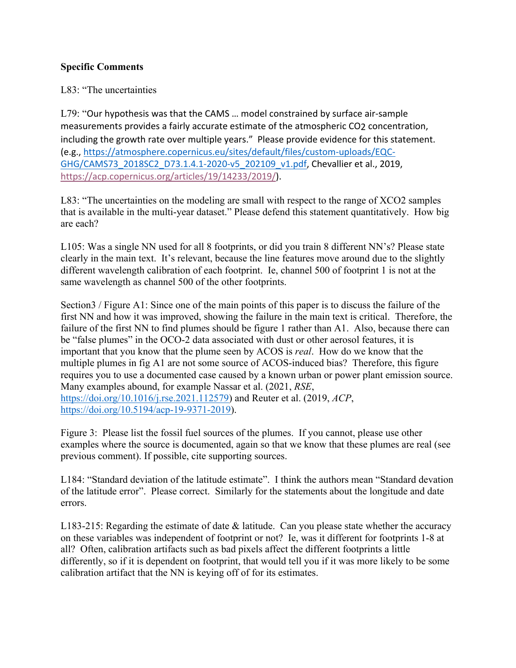## **Specific Comments**

#### L83: "The uncertainties

L79: "Our hypothesis was that the CAMS … model constrained by surface air-sample measurements provides a fairly accurate estimate of the atmospheric CO2 concentration, including the growth rate over multiple years." Please provide evidence for this statement. (e.g., https://atmosphere.copernicus.eu/sites/default/files/custom-uploads/EQC-GHG/CAMS73\_2018SC2\_D73.1.4.1-2020-v5\_202109\_v1.pdf, Chevallier et al., 2019, https://acp.copernicus.org/articles/19/14233/2019/).

L83: "The uncertainties on the modeling are small with respect to the range of XCO2 samples that is available in the multi-year dataset." Please defend this statement quantitatively. How big are each?

L105: Was a single NN used for all 8 footprints, or did you train 8 different NN's? Please state clearly in the main text. It's relevant, because the line features move around due to the slightly different wavelength calibration of each footprint. Ie, channel 500 of footprint 1 is not at the same wavelength as channel 500 of the other footprints.

Section3 / Figure A1: Since one of the main points of this paper is to discuss the failure of the first NN and how it was improved, showing the failure in the main text is critical. Therefore, the failure of the first NN to find plumes should be figure 1 rather than A1. Also, because there can be "false plumes" in the OCO-2 data associated with dust or other aerosol features, it is important that you know that the plume seen by ACOS is *real*. How do we know that the multiple plumes in fig A1 are not some source of ACOS-induced bias? Therefore, this figure requires you to use a documented case caused by a known urban or power plant emission source. Many examples abound, for example Nassar et al. (2021, *RSE*, https://doi.org/10.1016/j.rse.2021.112579) and Reuter et al. (2019, *ACP*, https://doi.org/10.5194/acp-19-9371-2019).

Figure 3: Please list the fossil fuel sources of the plumes. If you cannot, please use other examples where the source is documented, again so that we know that these plumes are real (see previous comment). If possible, cite supporting sources.

L184: "Standard deviation of the latitude estimate". I think the authors mean "Standard devation of the latitude error". Please correct. Similarly for the statements about the longitude and date errors.

L183-215: Regarding the estimate of date & latitude. Can you please state whether the accuracy on these variables was independent of footprint or not? Ie, was it different for footprints 1-8 at all? Often, calibration artifacts such as bad pixels affect the different footprints a little differently, so if it is dependent on footprint, that would tell you if it was more likely to be some calibration artifact that the NN is keying off of for its estimates.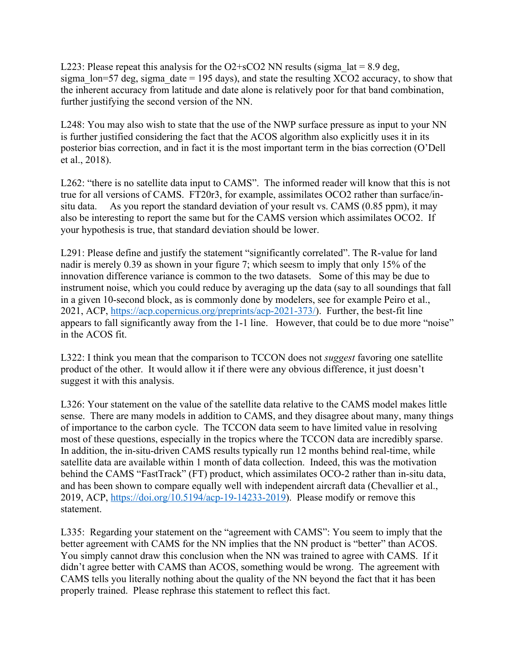L223: Please repeat this analysis for the O2+sCO2 NN results (sigma  $lat = 8.9$  deg, sigma  $lon=57$  deg, sigma date = 195 days), and state the resulting  $XCO2$  accuracy, to show that the inherent accuracy from latitude and date alone is relatively poor for that band combination, further justifying the second version of the NN.

L248: You may also wish to state that the use of the NWP surface pressure as input to your NN is further justified considering the fact that the ACOS algorithm also explicitly uses it in its posterior bias correction, and in fact it is the most important term in the bias correction (O'Dell et al., 2018).

L262: "there is no satellite data input to CAMS". The informed reader will know that this is not true for all versions of CAMS. FT20r3, for example, assimilates OCO2 rather than surface/insitu data. As you report the standard deviation of your result vs. CAMS (0.85 ppm), it may also be interesting to report the same but for the CAMS version which assimilates OCO2. If your hypothesis is true, that standard deviation should be lower.

L291: Please define and justify the statement "significantly correlated". The R-value for land nadir is merely 0.39 as shown in your figure 7; which seesm to imply that only 15% of the innovation difference variance is common to the two datasets. Some of this may be due to instrument noise, which you could reduce by averaging up the data (say to all soundings that fall in a given 10-second block, as is commonly done by modelers, see for example Peiro et al., 2021, ACP, https://acp.copernicus.org/preprints/acp-2021-373/). Further, the best-fit line appears to fall significantly away from the 1-1 line. However, that could be to due more "noise" in the ACOS fit.

L322: I think you mean that the comparison to TCCON does not *suggest* favoring one satellite product of the other. It would allow it if there were any obvious difference, it just doesn't suggest it with this analysis.

L326: Your statement on the value of the satellite data relative to the CAMS model makes little sense. There are many models in addition to CAMS, and they disagree about many, many things of importance to the carbon cycle. The TCCON data seem to have limited value in resolving most of these questions, especially in the tropics where the TCCON data are incredibly sparse. In addition, the in-situ-driven CAMS results typically run 12 months behind real-time, while satellite data are available within 1 month of data collection. Indeed, this was the motivation behind the CAMS "FastTrack" (FT) product, which assimilates OCO-2 rather than in-situ data, and has been shown to compare equally well with independent aircraft data (Chevallier et al., 2019, ACP, https://doi.org/10.5194/acp-19-14233-2019). Please modify or remove this statement.

L335: Regarding your statement on the "agreement with CAMS": You seem to imply that the better agreement with CAMS for the NN implies that the NN product is "better" than ACOS. You simply cannot draw this conclusion when the NN was trained to agree with CAMS. If it didn't agree better with CAMS than ACOS, something would be wrong. The agreement with CAMS tells you literally nothing about the quality of the NN beyond the fact that it has been properly trained. Please rephrase this statement to reflect this fact.